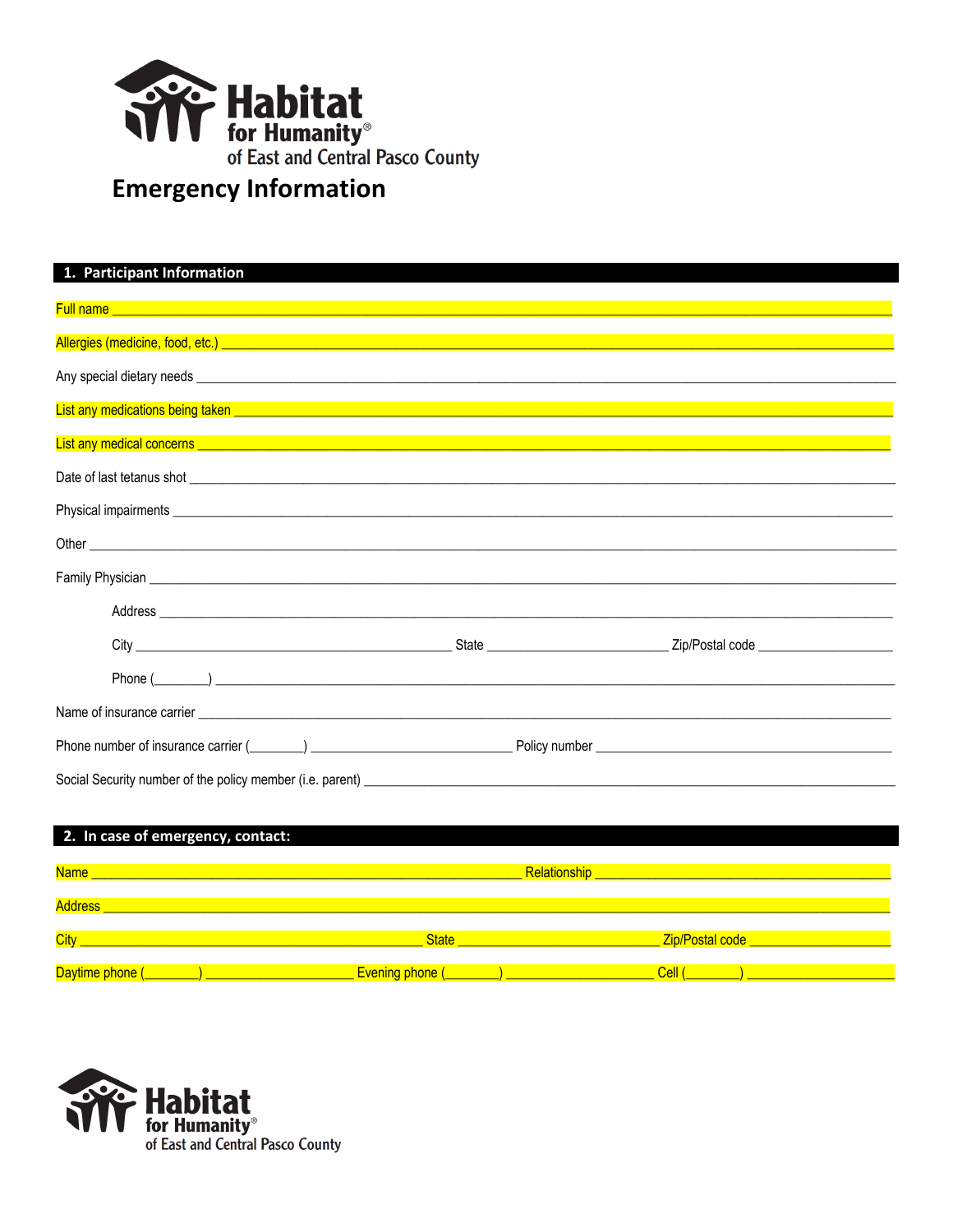

| 1. Participant Information                                                                                                                                                                                                           |                                                                                  |  |
|--------------------------------------------------------------------------------------------------------------------------------------------------------------------------------------------------------------------------------------|----------------------------------------------------------------------------------|--|
| Full name and the contract of the contract of the contract of the contract of the contract of the contract of the contract of the contract of the contract of the contract of the contract of the contract of the contract of        |                                                                                  |  |
|                                                                                                                                                                                                                                      |                                                                                  |  |
|                                                                                                                                                                                                                                      |                                                                                  |  |
|                                                                                                                                                                                                                                      |                                                                                  |  |
| List any medical concerns <b>experience and the contract of the contract of the contract of the contract of the contract of the contract of the contract of the contract of the contract of the contract of the contract of the </b> | ,我们也不会有什么。""我们的人,我们也不会有什么?""我们的人,我们也不会有什么?""我们的人,我们也不会有什么?""我们的人,我们也不会有什么?""我们的人 |  |
|                                                                                                                                                                                                                                      |                                                                                  |  |
|                                                                                                                                                                                                                                      |                                                                                  |  |
|                                                                                                                                                                                                                                      |                                                                                  |  |
|                                                                                                                                                                                                                                      |                                                                                  |  |
|                                                                                                                                                                                                                                      |                                                                                  |  |
|                                                                                                                                                                                                                                      |                                                                                  |  |
|                                                                                                                                                                                                                                      |                                                                                  |  |
|                                                                                                                                                                                                                                      |                                                                                  |  |
|                                                                                                                                                                                                                                      |                                                                                  |  |
|                                                                                                                                                                                                                                      |                                                                                  |  |

| 2. In case of emergency, contact: |                                  |                                                                                    |  |
|-----------------------------------|----------------------------------|------------------------------------------------------------------------------------|--|
| Name                              |                                  | <b>Relationship</b><br>the control of the control of the control of the control of |  |
| <b>Address</b>                    |                                  |                                                                                    |  |
| City                              | <b>State</b>                     | Zip/Postal code                                                                    |  |
| Daytime phone (                   | Evening phone ( <b>witchen</b> ) | Cell (                                                                             |  |

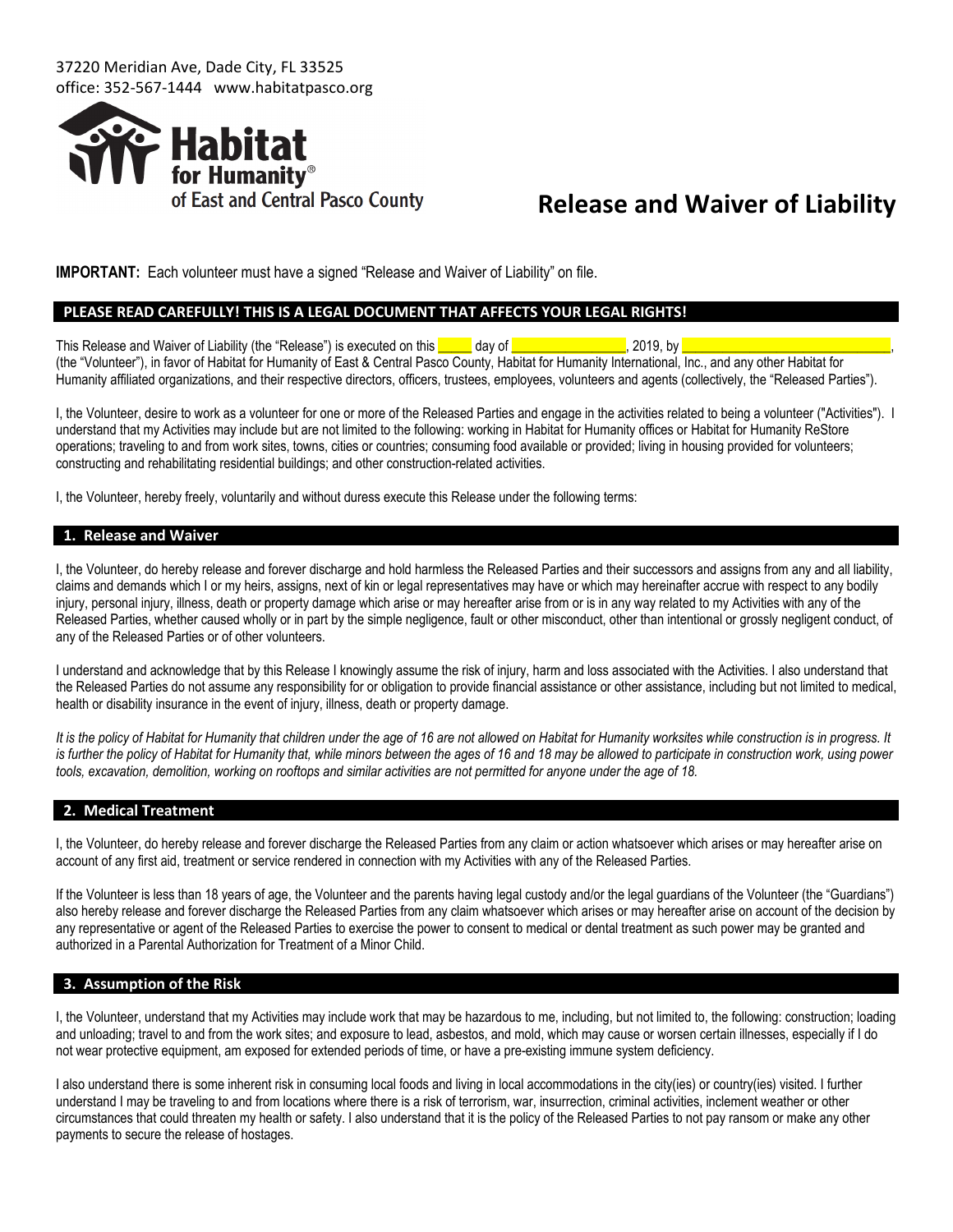37220 Meridian Ave, Dade City, FL 33525 office: 352-567-1444 www.habitatpasco.org



# **Release and Waiver of Liability**

**IMPORTANT:** Each volunteer must have a signed "Release and Waiver of Liability" on file.

### **PLEASE READ CAREFULLY! THIS IS A LEGAL DOCUMENT THAT AFFECTS YOUR LEGAL RIGHTS!**

This Release and Waiver of Liability (the "Release") is executed on this **Lack and Selease** and Waiver of Liability (the "Release") is executed on this **Lack and Selease** and Maiver of Liability (the "Release") is executed (the "Volunteer"), in favor of Habitat for Humanity of East & Central Pasco County, Habitat for Humanity International, Inc., and any other Habitat for Humanity affiliated organizations, and their respective directors, officers, trustees, employees, volunteers and agents (collectively, the "Released Parties").

I, the Volunteer, desire to work as a volunteer for one or more of the Released Parties and engage in the activities related to being a volunteer ("Activities"). I understand that my Activities may include but are not limited to the following: working in Habitat for Humanity offices or Habitat for Humanity ReStore operations; traveling to and from work sites, towns, cities or countries; consuming food available or provided; living in housing provided for volunteers; constructing and rehabilitating residential buildings; and other construction-related activities.

I, the Volunteer, hereby freely, voluntarily and without duress execute this Release under the following terms:

#### **1. Release and Waiver**

I, the Volunteer, do hereby release and forever discharge and hold harmless the Released Parties and their successors and assigns from any and all liability, claims and demands which I or my heirs, assigns, next of kin or legal representatives may have or which may hereinafter accrue with respect to any bodily injury, personal injury, illness, death or property damage which arise or may hereafter arise from or is in any way related to my Activities with any of the Released Parties, whether caused wholly or in part by the simple negligence, fault or other misconduct, other than intentional or grossly negligent conduct, of any of the Released Parties or of other volunteers.

I understand and acknowledge that by this Release I knowingly assume the risk of injury, harm and loss associated with the Activities. I also understand that the Released Parties do not assume any responsibility for or obligation to provide financial assistance or other assistance, including but not limited to medical, health or disability insurance in the event of injury, illness, death or property damage.

It is the policy of Habitat for Humanity that children under the age of 16 are not allowed on Habitat for Humanity worksites while construction is in progress. It is further the policy of Habitat for Humanity that, while minors between the ages of 16 and 18 may be allowed to participate in construction work, using power *tools, excavation, demolition, working on rooftops and similar activities are not permitted for anyone under the age of 18.*

#### **2. Medical Treatment**

I, the Volunteer, do hereby release and forever discharge the Released Parties from any claim or action whatsoever which arises or may hereafter arise on account of any first aid, treatment or service rendered in connection with my Activities with any of the Released Parties.

If the Volunteer is less than 18 years of age, the Volunteer and the parents having legal custody and/or the legal guardians of the Volunteer (the "Guardians") also hereby release and forever discharge the Released Parties from any claim whatsoever which arises or may hereafter arise on account of the decision by any representative or agent of the Released Parties to exercise the power to consent to medical or dental treatment as such power may be granted and authorized in a Parental Authorization for Treatment of a Minor Child.

#### **3. Assumption of the Risk**

I, the Volunteer, understand that my Activities may include work that may be hazardous to me, including, but not limited to, the following: construction; loading and unloading; travel to and from the work sites; and exposure to lead, asbestos, and mold, which may cause or worsen certain illnesses, especially if I do not wear protective equipment, am exposed for extended periods of time, or have a pre-existing immune system deficiency.

I also understand there is some inherent risk in consuming local foods and living in local accommodations in the city(ies) or country(ies) visited. I further understand I may be traveling to and from locations where there is a risk of terrorism, war, insurrection, criminal activities, inclement weather or other circumstances that could threaten my health or safety. I also understand that it is the policy of the Released Parties to not pay ransom or make any other payments to secure the release of hostages.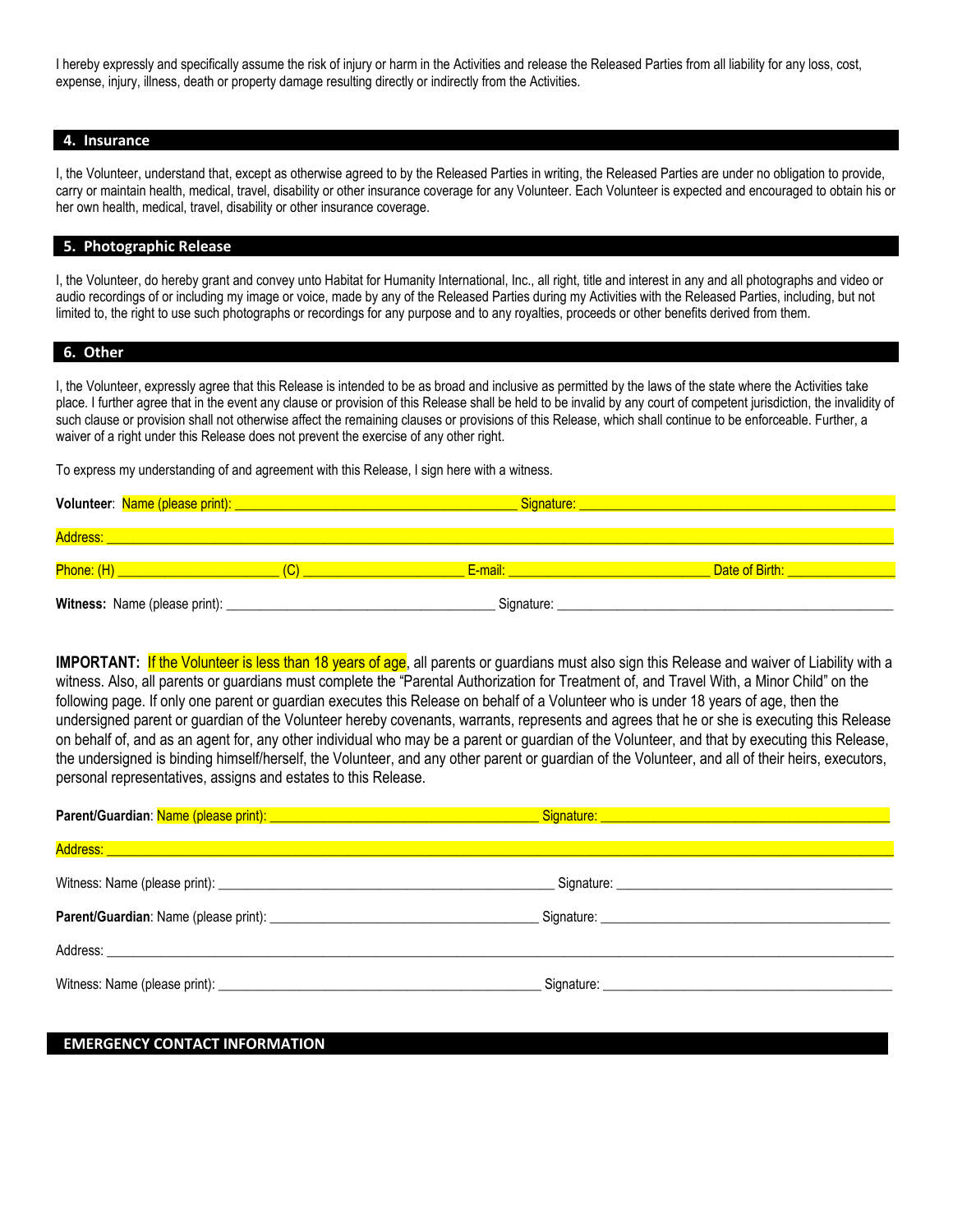I hereby expressly and specifically assume the risk of injury or harm in the Activities and release the Released Parties from all liability for any loss, cost, expense, injury, illness, death or property damage resulting directly or indirectly from the Activities.

#### **4. Insurance**

I, the Volunteer, understand that, except as otherwise agreed to by the Released Parties in writing, the Released Parties are under no obligation to provide, carry or maintain health, medical, travel, disability or other insurance coverage for any Volunteer. Each Volunteer is expected and encouraged to obtain his or her own health, medical, travel, disability or other insurance coverage.

#### **5. Photographic Release**

I, the Volunteer, do hereby grant and convey unto Habitat for Humanity International, Inc., all right, title and interest in any and all photographs and video or audio recordings of or including my image or voice, made by any of the Released Parties during my Activities with the Released Parties, including, but not limited to, the right to use such photographs or recordings for any purpose and to any royalties, proceeds or other benefits derived from them.

# **6. Other**

I, the Volunteer, expressly agree that this Release is intended to be as broad and inclusive as permitted by the laws of the state where the Activities take place. I further agree that in the event any clause or provision of this Release shall be held to be invalid by any court of competent jurisdiction, the invalidity of such clause or provision shall not otherwise affect the remaining clauses or provisions of this Release, which shall continue to be enforceable. Further, a waiver of a right under this Release does not prevent the exercise of any other right.

To express my understanding of and agreement with this Release, I sign here with a witness.

|                               | Signature: Signature |                                               |
|-------------------------------|----------------------|-----------------------------------------------|
|                               |                      |                                               |
| Address:                      |                      |                                               |
| Phone: (H)                    | E-mail: E-mail:      | <b>Date of Birth: Container and Container</b> |
| Witness: Name (please print): | Signature:           |                                               |

**IMPORTANT:** If the Volunteer is less than 18 years of age, all parents or guardians must also sign this Release and waiver of Liability with a witness. Also, all parents or guardians must complete the "Parental Authorization for Treatment of, and Travel With, a Minor Child" on the following page. If only one parent or guardian executes this Release on behalf of a Volunteer who is under 18 years of age, then the undersigned parent or guardian of the Volunteer hereby covenants, warrants, represents and agrees that he or she is executing this Release on behalf of, and as an agent for, any other individual who may be a parent or guardian of the Volunteer, and that by executing this Release, the undersigned is binding himself/herself, the Volunteer, and any other parent or guardian of the Volunteer, and all of their heirs, executors, personal representatives, assigns and estates to this Release.

| Address: <u>Address: Address: Address: Address: Address: Address: Address: Address: Address: Address: Address: Add</u>                                                                                                         |  |
|--------------------------------------------------------------------------------------------------------------------------------------------------------------------------------------------------------------------------------|--|
|                                                                                                                                                                                                                                |  |
| Parent/Guardian: Name (please print): Name (please print): Name (please print): Name (please print): Name (please print): Name (please print): Name (please print): Name (please print): Name (please print): Name (please pri |  |
|                                                                                                                                                                                                                                |  |
|                                                                                                                                                                                                                                |  |

## **EMERGENCY CONTACT INFORMATION**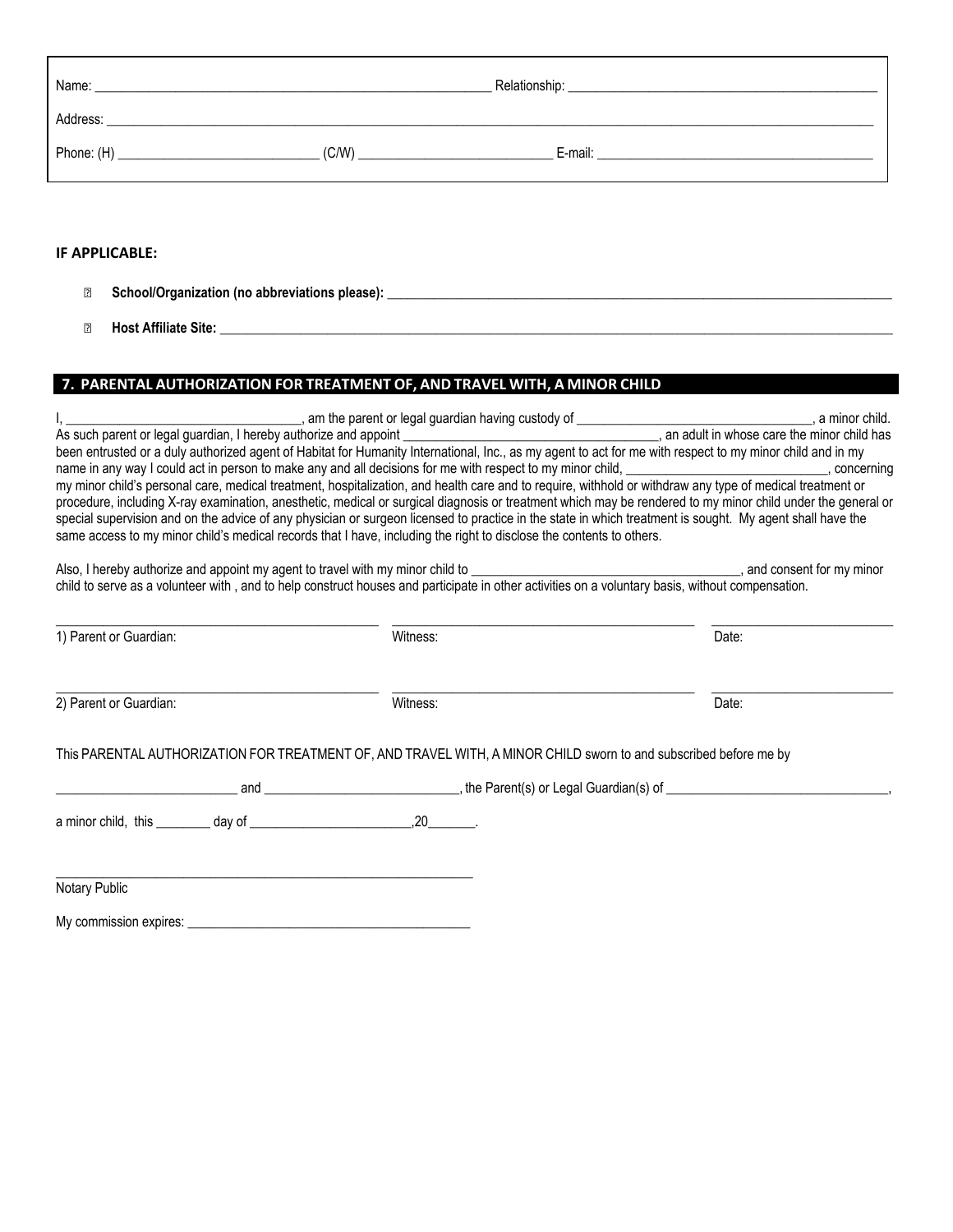| Name:      |       | Relationship:<br><u> 1980 - Jan Barat, marka masjid a shekara ta 1980 a shekara ta 1980 a shekara ta 1980 a shekara ta 1980 a sheka</u> |
|------------|-------|-----------------------------------------------------------------------------------------------------------------------------------------|
| Address:   |       |                                                                                                                                         |
| Phone: (H) | (C/W) | E-mail:                                                                                                                                 |

# **IF APPLICABLE:**

- **School/Organization (no abbreviations please): \_\_\_\_\_\_\_\_\_\_\_\_\_\_\_\_\_\_\_\_\_\_\_\_\_\_\_\_\_\_\_\_\_\_\_\_\_\_\_\_\_\_\_\_\_\_\_\_\_\_\_\_\_\_\_\_\_\_\_\_\_\_\_\_\_\_\_\_\_\_\_\_\_\_\_**
- **Host Affiliate Site: \_\_\_\_\_\_\_\_\_\_\_\_\_\_\_\_\_\_\_\_\_\_\_\_\_\_\_\_\_\_\_\_\_\_\_\_\_\_\_\_\_\_\_\_\_\_\_\_\_\_\_\_\_\_\_\_\_\_\_\_\_\_\_\_\_\_\_\_\_\_\_\_\_\_\_\_\_\_\_\_\_\_\_\_\_\_\_\_\_\_\_\_\_\_\_\_\_\_\_\_**

# **7. PARENTAL AUTHORIZATION FOR TREATMENT OF, AND TRAVEL WITH, A MINOR CHILD**

|                        | been entrusted or a duly authorized agent of Habitat for Humanity International, Inc., as my agent to act for me with respect to my minor child and in my   |       |
|------------------------|-------------------------------------------------------------------------------------------------------------------------------------------------------------|-------|
|                        | name in any way I could act in person to make any and all decisions for me with respect to my minor child, _______________________________, concerning      |       |
|                        | my minor child's personal care, medical treatment, hospitalization, and health care and to require, withhold or withdraw any type of medical treatment or   |       |
|                        | procedure, including X-ray examination, anesthetic, medical or surgical diagnosis or treatment which may be rendered to my minor child under the general or |       |
|                        | special supervision and on the advice of any physician or surgeon licensed to practice in the state in which treatment is sought. My agent shall have the   |       |
|                        | same access to my minor child's medical records that I have, including the right to disclose the contents to others.                                        |       |
|                        |                                                                                                                                                             |       |
|                        |                                                                                                                                                             |       |
|                        |                                                                                                                                                             |       |
|                        |                                                                                                                                                             |       |
| 1) Parent or Guardian: | Witness:                                                                                                                                                    | Date: |
|                        |                                                                                                                                                             |       |
|                        |                                                                                                                                                             |       |
| 2) Parent or Guardian: | Witness:                                                                                                                                                    | Date: |
|                        |                                                                                                                                                             |       |
|                        |                                                                                                                                                             |       |
|                        | This PARENTAL AUTHORIZATION FOR TREATMENT OF, AND TRAVEL WITH, A MINOR CHILD sworn to and subscribed before me by                                           |       |
|                        |                                                                                                                                                             |       |
|                        |                                                                                                                                                             |       |
|                        |                                                                                                                                                             |       |
|                        |                                                                                                                                                             |       |
|                        |                                                                                                                                                             |       |
|                        |                                                                                                                                                             |       |
| Notary Public          |                                                                                                                                                             |       |
|                        |                                                                                                                                                             |       |

My commission expires: \_\_\_\_\_\_\_\_\_\_\_\_\_\_\_\_\_\_\_\_\_\_\_\_\_\_\_\_\_\_\_\_\_\_\_\_\_\_\_\_\_\_